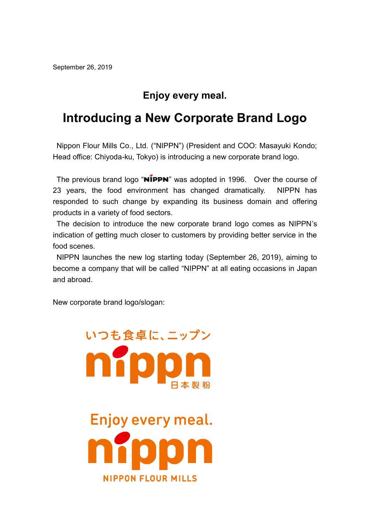## **Enjoy every meal.**

## **Introducing a New Corporate Brand Logo**

Nippon Flour Mills Co., Ltd. ("NIPPN") (President and COO: Masayuki Kondo; Head office: Chiyoda-ku, Tokyo) is introducing a new corporate brand logo.

The previous brand logo "NIPPN" was adopted in 1996. Over the course of 23 years, the food environment has changed dramatically. NIPPN has responded to such change by expanding its business domain and offering products in a variety of food sectors.

The decision to introduce the new corporate brand logo comes as NIPPN's indication of getting much closer to customers by providing better service in the food scenes.

NIPPN launches the new log starting today (September 26, 2019), aiming to become a company that will be called "NIPPN" at all eating occasions in Japan and abroad.

New corporate brand logo/slogan:



いつも食卓に、ニップン